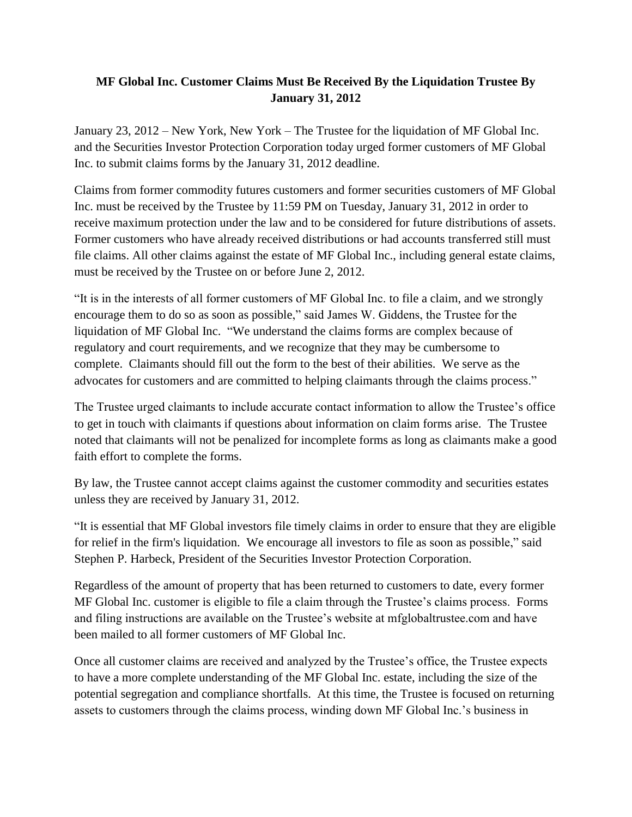## **MF Global Inc. Customer Claims Must Be Received By the Liquidation Trustee By January 31, 2012**

January 23, 2012 – New York, New York – The Trustee for the liquidation of MF Global Inc. and the Securities Investor Protection Corporation today urged former customers of MF Global Inc. to submit claims forms by the January 31, 2012 deadline.

Claims from former commodity futures customers and former securities customers of MF Global Inc. must be received by the Trustee by 11:59 PM on Tuesday, January 31, 2012 in order to receive maximum protection under the law and to be considered for future distributions of assets. Former customers who have already received distributions or had accounts transferred still must file claims. All other claims against the estate of MF Global Inc., including general estate claims, must be received by the Trustee on or before June 2, 2012.

"It is in the interests of all former customers of MF Global Inc. to file a claim, and we strongly encourage them to do so as soon as possible," said James W. Giddens, the Trustee for the liquidation of MF Global Inc. "We understand the claims forms are complex because of regulatory and court requirements, and we recognize that they may be cumbersome to complete. Claimants should fill out the form to the best of their abilities. We serve as the advocates for customers and are committed to helping claimants through the claims process."

The Trustee urged claimants to include accurate contact information to allow the Trustee's office to get in touch with claimants if questions about information on claim forms arise. The Trustee noted that claimants will not be penalized for incomplete forms as long as claimants make a good faith effort to complete the forms.

By law, the Trustee cannot accept claims against the customer commodity and securities estates unless they are received by January 31, 2012.

"It is essential that MF Global investors file timely claims in order to ensure that they are eligible for relief in the firm's liquidation. We encourage all investors to file as soon as possible," said Stephen P. Harbeck, President of the Securities Investor Protection Corporation.

Regardless of the amount of property that has been returned to customers to date, every former MF Global Inc. customer is eligible to file a claim through the Trustee's claims process. Forms and filing instructions are available on the Trustee's website at mfglobaltrustee.com and have been mailed to all former customers of MF Global Inc.

Once all customer claims are received and analyzed by the Trustee's office, the Trustee expects to have a more complete understanding of the MF Global Inc. estate, including the size of the potential segregation and compliance shortfalls. At this time, the Trustee is focused on returning assets to customers through the claims process, winding down MF Global Inc.'s business in